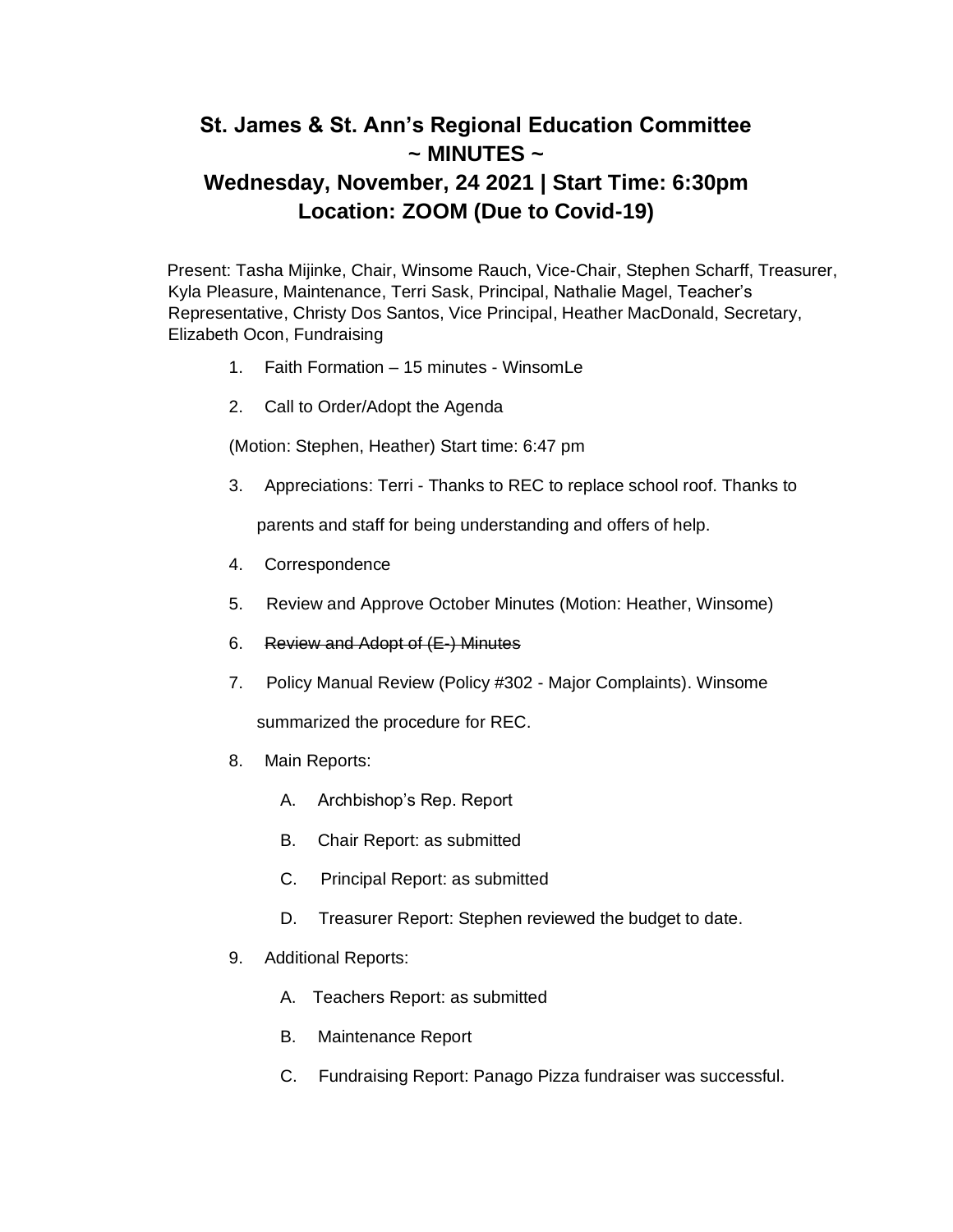## **St. James & St. Ann's Regional Education Committee ~ MINUTES ~**

## **Wednesday, November, 24 2021 | Start Time: 6:30pm Location: ZOOM (Due to Covid-19)**

Present: Tasha Mijinke, Chair, Winsome Rauch, Vice-Chair, Stephen Scharff, Treasurer, Kyla Pleasure, Maintenance, Terri Sask, Principal, Nathalie Magel, Teacher's Representative, Christy Dos Santos, Vice Principal, Heather MacDonald, Secretary, Elizabeth Ocon, Fundraising

- 1. Faith Formation 15 minutes WinsomLe
- 2. Call to Order/Adopt the Agenda

(Motion: Stephen, Heather) Start time: 6:47 pm

- 3. Appreciations: Terri Thanks to REC to replace school roof. Thanks to parents and staff for being understanding and offers of help.
- 4. Correspondence
- 5. Review and Approve October Minutes (Motion: Heather, Winsome)
- 6. Review and Adopt of (E-) Minutes
- 7. Policy Manual Review (Policy #302 Major Complaints). Winsome

summarized the procedure for REC.

- 8. Main Reports:
	- A. Archbishop's Rep. Report
	- B. Chair Report: as submitted
	- C. Principal Report: as submitted
	- D. Treasurer Report: Stephen reviewed the budget to date.
- 9. Additional Reports:
	- A. Teachers Report: as submitted
	- B. Maintenance Report
	- C. Fundraising Report: Panago Pizza fundraiser was successful.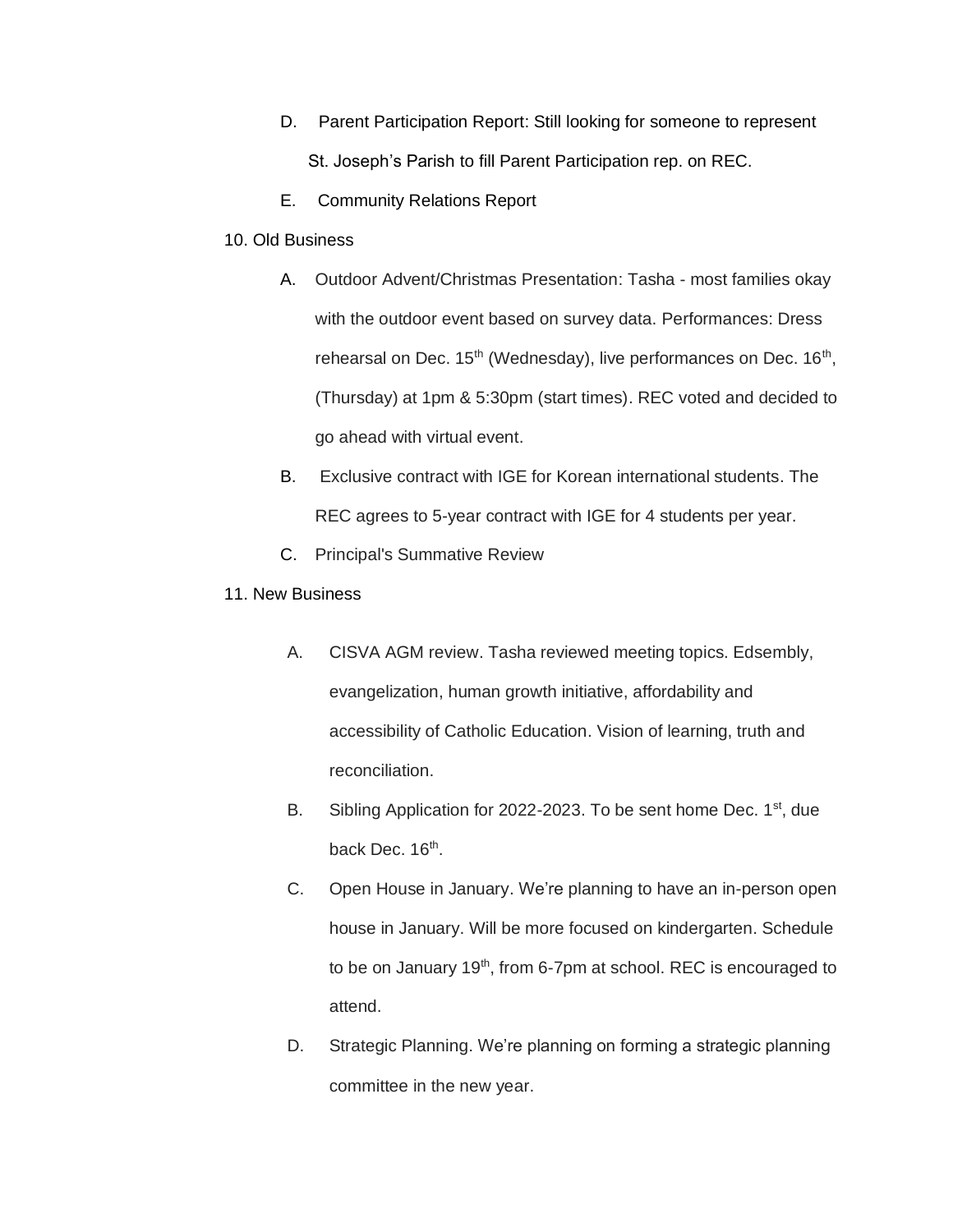- D. Parent Participation Report: Still looking for someone to represent St. Joseph's Parish to fill Parent Participation rep. on REC.
- E. Community Relations Report
- 10. Old Business
	- A. Outdoor Advent/Christmas Presentation: Tasha most families okay with the outdoor event based on survey data. Performances: Dress rehearsal on Dec. 15<sup>th</sup> (Wednesday), live performances on Dec. 16<sup>th</sup>, (Thursday) at 1pm & 5:30pm (start times). REC voted and decided to go ahead with virtual event.
	- B. Exclusive contract with IGE for Korean international students. The REC agrees to 5-year contract with IGE for 4 students per year.
	- C. Principal's Summative Review
- 11. New Business
	- A. CISVA AGM review. Tasha reviewed meeting topics. Edsembly, evangelization, human growth initiative, affordability and accessibility of Catholic Education. Vision of learning, truth and reconciliation.
	- B. Sibling Application for 2022-2023. To be sent home Dec. 1<sup>st</sup>, due back Dec. 16<sup>th</sup>.
	- C. Open House in January. We're planning to have an in-person open house in January. Will be more focused on kindergarten. Schedule to be on January  $19<sup>th</sup>$ , from 6-7pm at school. REC is encouraged to attend.
	- D. Strategic Planning. We're planning on forming a strategic planning committee in the new year.